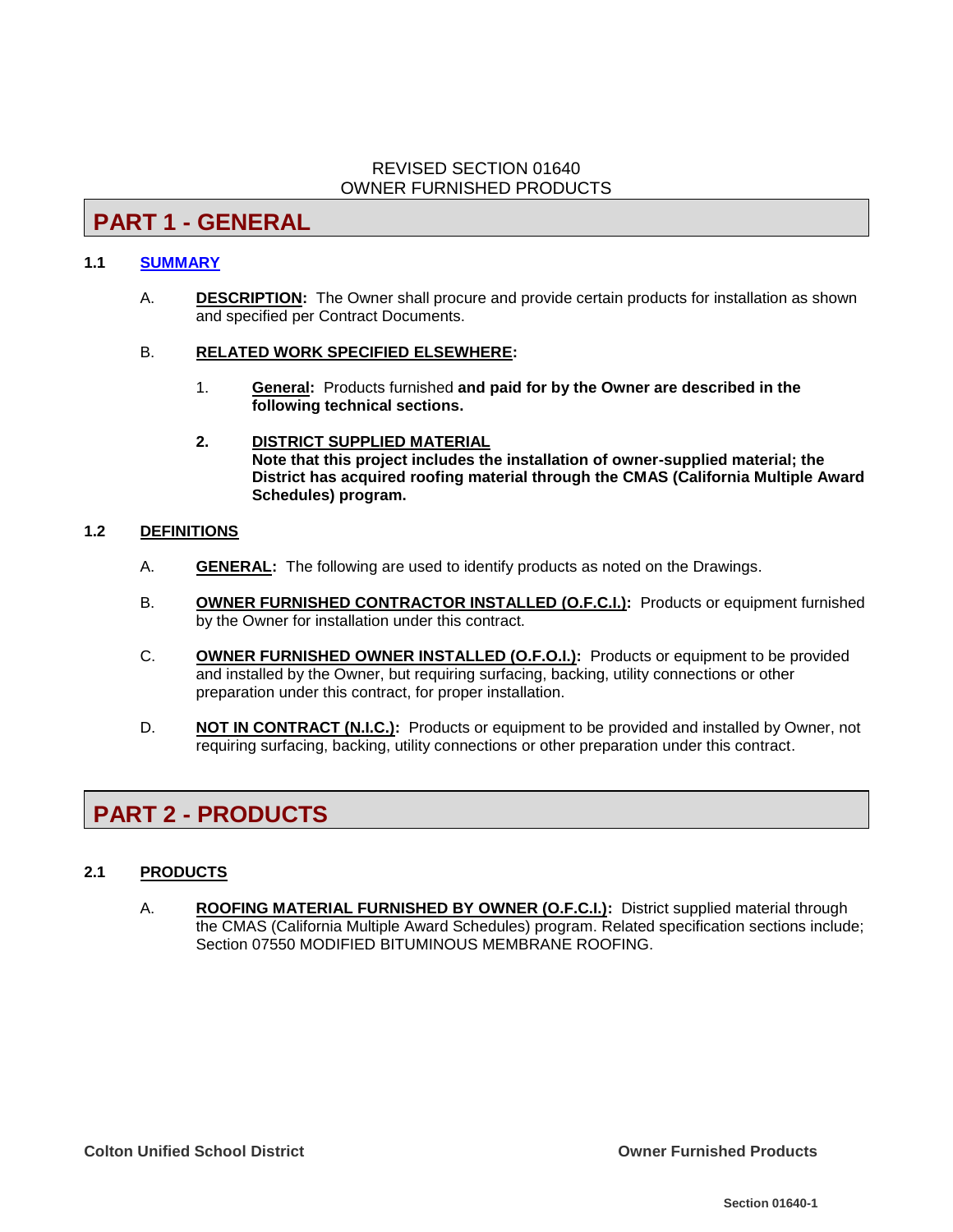### REVISED SECTION 01640 OWNER FURNISHED PRODUCTS

**PART 1 - GENERAL**

### **1.1 [SUMMARY](../../../../../Specifications/Active%20Project/00010%20-%20Table%20of%20Contents.wpd)**

A. **DESCRIPTION:** The Owner shall procure and provide certain products for installation as shown and specified per Contract Documents.

#### B. **RELATED WORK SPECIFIED ELSEWHERE:**

- 1. **General:** Products furnished **and paid for by the Owner are described in the following technical sections.**
- **2. DISTRICT SUPPLIED MATERIAL Note that this project includes the installation of owner-supplied material; the District has acquired roofing material through the CMAS (California Multiple Award Schedules) program.**

#### **1.2 DEFINITIONS**

- A. **GENERAL:** The following are used to identify products as noted on the Drawings.
- B. **OWNER FURNISHED CONTRACTOR INSTALLED (O.F.C.I.):** Products or equipment furnished by the Owner for installation under this contract.
- C. **OWNER FURNISHED OWNER INSTALLED (O.F.O.I.):** Products or equipment to be provided and installed by the Owner, but requiring surfacing, backing, utility connections or other preparation under this contract, for proper installation.
- D. **NOT IN CONTRACT (N.I.C.):** Products or equipment to be provided and installed by Owner, not requiring surfacing, backing, utility connections or other preparation under this contract.

# **PART 2 - PRODUCTS**

# **2.1 PRODUCTS**

A. **ROOFING MATERIAL FURNISHED BY OWNER (O.F.C.I.):** District supplied material through the CMAS (California Multiple Award Schedules) program. Related specification sections include; Section 07550 MODIFIED BITUMINOUS MEMBRANE ROOFING.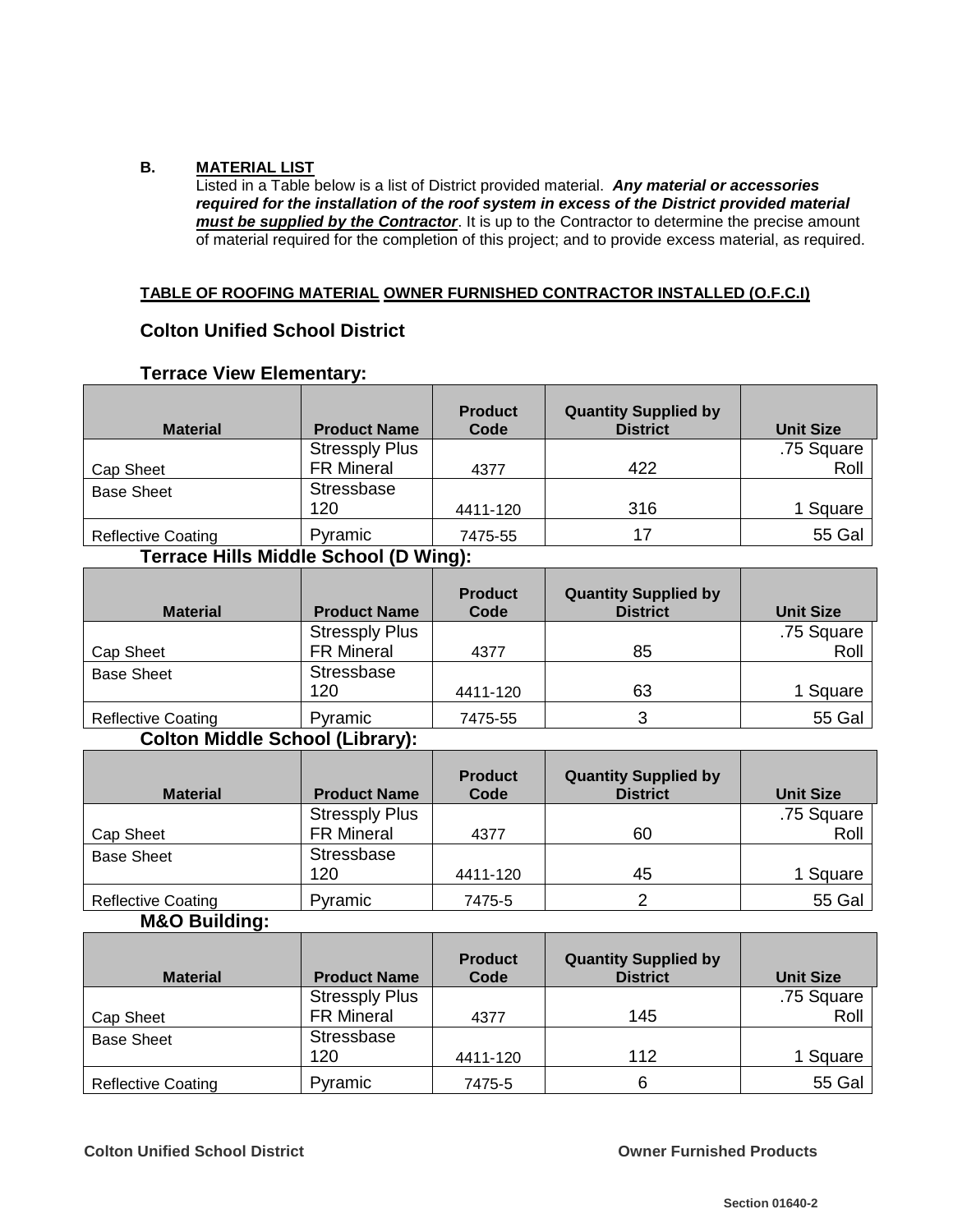#### **B. MATERIAL LIST**

Listed in a Table below is a list of District provided material. *Any material or accessories required for the installation of the roof system in excess of the District provided material must be supplied by the Contractor*. It is up to the Contractor to determine the precise amount of material required for the completion of this project; and to provide excess material, as required.

#### **TABLE OF ROOFING MATERIAL OWNER FURNISHED CONTRACTOR INSTALLED (O.F.C.I)**

# **Colton Unified School District**

| <b>Material</b>           | <b>Product Name</b>   | <b>Product</b><br>Code | <b>Quantity Supplied by</b><br><b>District</b> | <b>Unit Size</b> |
|---------------------------|-----------------------|------------------------|------------------------------------------------|------------------|
|                           | <b>Stressply Plus</b> |                        |                                                | .75 Square       |
| Cap Sheet                 | <b>FR Mineral</b>     | 4377                   | 422                                            | Roll             |
| <b>Base Sheet</b>         | Stressbase            |                        |                                                |                  |
|                           | 120                   | 4411-120               | 316                                            | 1 Square         |
| <b>Reflective Coating</b> | Pyramic               | 7475-55                | 17                                             | <b>55 Gal</b>    |

# **Terrace View Elementary:**

# **Terrace Hills Middle School (D Wing):**

| <b>Material</b>           | <b>Product Name</b>   | <b>Product</b><br>Code | <b>Quantity Supplied by</b><br><b>District</b> | <b>Unit Size</b> |
|---------------------------|-----------------------|------------------------|------------------------------------------------|------------------|
|                           | <b>Stressply Plus</b> |                        |                                                | .75 Square       |
| Cap Sheet                 | <b>FR Mineral</b>     | 4377                   | 85                                             | Roll             |
| <b>Base Sheet</b>         | Stressbase            |                        |                                                |                  |
|                           | 120                   | 4411-120               | 63                                             | 1 Square         |
| <b>Reflective Coating</b> | Pyramic               | 7475-55                | 3                                              | <b>55 Gal</b>    |

# **Colton Middle School (Library):**

| <b>Material</b>           | <b>Product Name</b>   | <b>Product</b><br>Code | <b>Quantity Supplied by</b><br><b>District</b> | <b>Unit Size</b> |
|---------------------------|-----------------------|------------------------|------------------------------------------------|------------------|
|                           | <b>Stressply Plus</b> |                        |                                                | .75 Square       |
| Cap Sheet                 | <b>FR Mineral</b>     | 4377                   | 60                                             | Roll             |
| <b>Base Sheet</b>         | Stressbase            |                        |                                                |                  |
|                           | 120                   | 4411-120               | 45                                             | 1 Square         |
| <b>Reflective Coating</b> | Pyramic               | 7475-5                 |                                                | <b>55 Gal</b>    |

## **M&O Building:**

| <b>Material</b>           | <b>Product Name</b>   | <b>Product</b><br>Code | <b>Quantity Supplied by</b><br><b>District</b> | <b>Unit Size</b> |
|---------------------------|-----------------------|------------------------|------------------------------------------------|------------------|
|                           | <b>Stressply Plus</b> |                        |                                                | .75 Square       |
| Cap Sheet                 | <b>FR Mineral</b>     | 4377                   | 145                                            | Roll             |
| <b>Base Sheet</b>         | Stressbase            |                        |                                                |                  |
|                           | 120                   | 4411-120               | 112                                            | 1 Square         |
| <b>Reflective Coating</b> | Pyramic               | 7475-5                 | 6                                              | <b>55 Gal</b>    |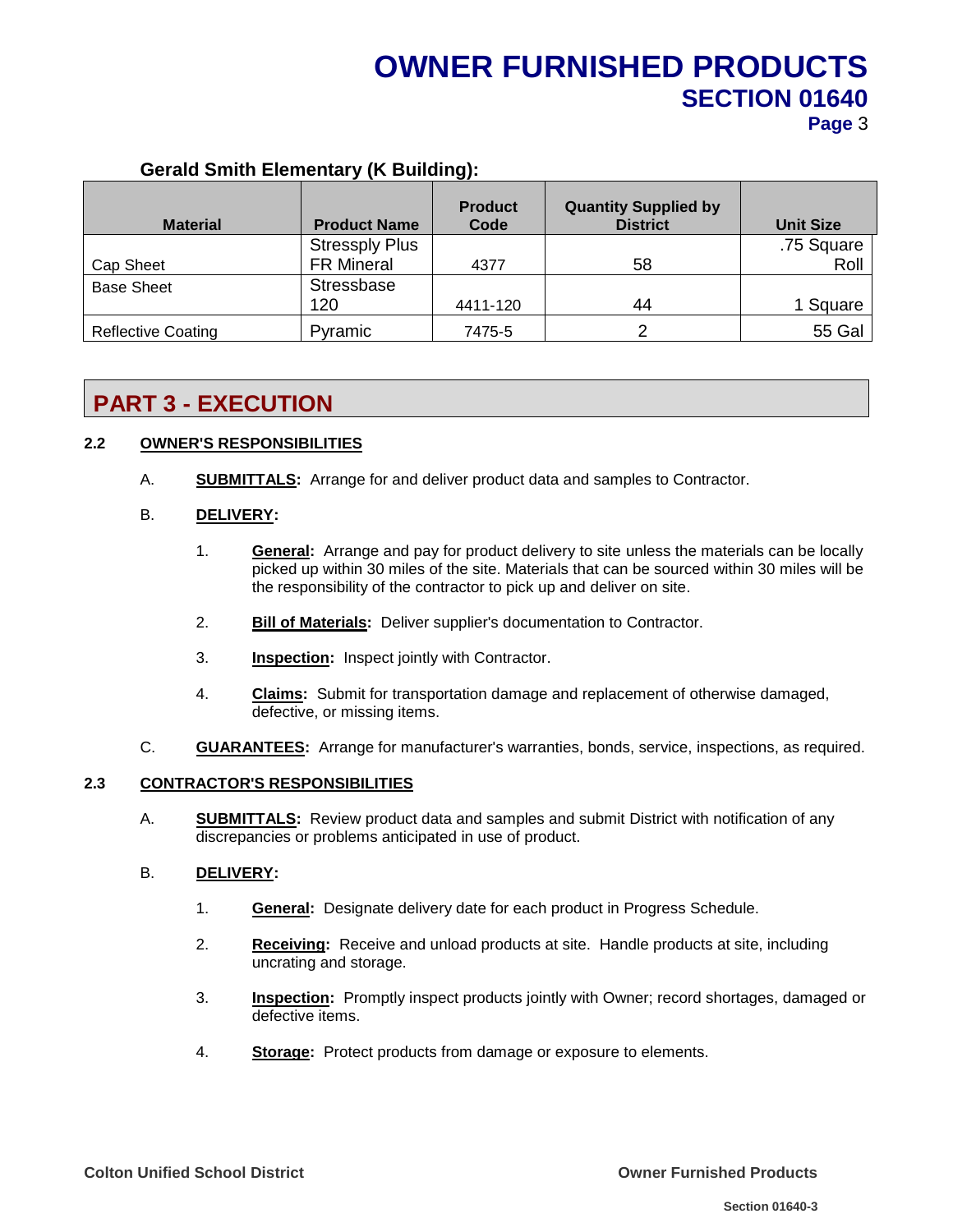# **OWNER FURNISHED PRODUCTS SECTION 01640 Page** 3

#### **Material Product Name Product Code Quantity Supplied by District Unit Size** Cap Sheet Stressply Plus FR Mineral  $\begin{array}{|c|c|c|c|c|} \hline \text{F} & \text{A377} & \text{A4377} \hline \end{array}$ .75 Square Roll Base Sheet Stressbase 120 | 4411-120 | 44 | 1 Square Reflective Coating Pyramic 7475-5 2 55 Gal

# **Gerald Smith Elementary (K Building):**

# **PART 3 - EXECUTION**

### **2.2 OWNER'S RESPONSIBILITIES**

A. **SUBMITTALS:** Arrange for and deliver product data and samples to Contractor.

#### B. **DELIVERY:**

- 1. **General:** Arrange and pay for product delivery to site unless the materials can be locally picked up within 30 miles of the site. Materials that can be sourced within 30 miles will be the responsibility of the contractor to pick up and deliver on site.
- 2. **Bill of Materials:** Deliver supplier's documentation to Contractor.
- 3. **Inspection:** Inspect jointly with Contractor.
- 4. **Claims:** Submit for transportation damage and replacement of otherwise damaged, defective, or missing items.
- C. **GUARANTEES:** Arrange for manufacturer's warranties, bonds, service, inspections, as required.

#### **2.3 CONTRACTOR'S RESPONSIBILITIES**

A. **SUBMITTALS:** Review product data and samples and submit District with notification of any discrepancies or problems anticipated in use of product.

#### B. **DELIVERY:**

- 1. **General:** Designate delivery date for each product in Progress Schedule.
- 2. **Receiving:** Receive and unload products at site. Handle products at site, including uncrating and storage.
- 3. **Inspection:** Promptly inspect products jointly with Owner; record shortages, damaged or defective items.
- 4. **Storage:** Protect products from damage or exposure to elements.